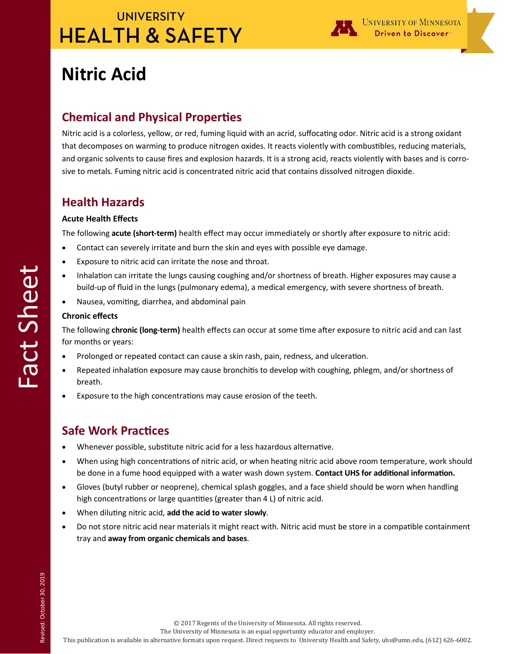

# **Nitric Acid**

### **Chemical and Physical Properties**

Nitric acid is a colorless, yellow, or red, fuming liquid with an acrid, suffocating odor. Nitric acid is a strong oxidant that decomposes on warming to produce nitrogen oxides. It reacts violently with combustibles, reducing materials, and organic solvents to cause fires and explosion hazards. It is a strong acid, reacts violently with bases and is corrosive to metals. Fuming nitric acid is concentrated nitric acid that contains dissolved nitrogen dioxide.

### **Health Hazards**

#### **Acute Health Effects**

The following **acute (short-term)** health effect may occur immediately or shortly after exposure to nitric acid:

- Contact can severely irritate and burn the skin and eyes with possible eye damage.
- Exposure to nitric acid can irritate the nose and throat.
- Inhalation can irritate the lungs causing coughing and/or shortness of breath. Higher exposures may cause a build-up of fluid in the lungs (pulmonary edema), a medical emergency, with severe shortness of breath.
- Nausea, vomiting, diarrhea, and abdominal pain

#### **Chronic effects**

The following **chronic (long-term)** health effects can occur at some time after exposure to nitric acid and can last for months or years:

- Prolonged or repeated contact can cause a skin rash, pain, redness, and ulceration.
- Repeated inhalation exposure may cause bronchitis to develop with coughing, phlegm, and/or shortness of breath.
- Exposure to the high concentrations may cause erosion of the teeth.

### **Safe Work Practices**

- Whenever possible, substitute nitric acid for a less hazardous alternative.
- When using high concentrations of nitric acid, or when heating nitric acid above room temperature, work should be done in a fume hood equipped with a water wash down system. **Contact UHS for additional information.**
- Gloves (butyl rubber or neoprene), chemical splash goggles, and a face shield should be worn when handling high concentrations or large quantities (greater than 4 L) of nitric acid.
- When diluting nitric acid, **add the acid to water slowly**.
- Do not store nitric acid near materials it might react with. Nitric acid must be store in a compatible containment tray and **away from organic chemicals and bases**.

© 2017 Regents of the University of Minnesota. All rights reserved.

The University of Minnesota is an equal opportunity educator and employer.

This publication is available in alternative formats upon request. Direct requests to University Health and Safety, uhs@umn.edu, (612) 626-6002.